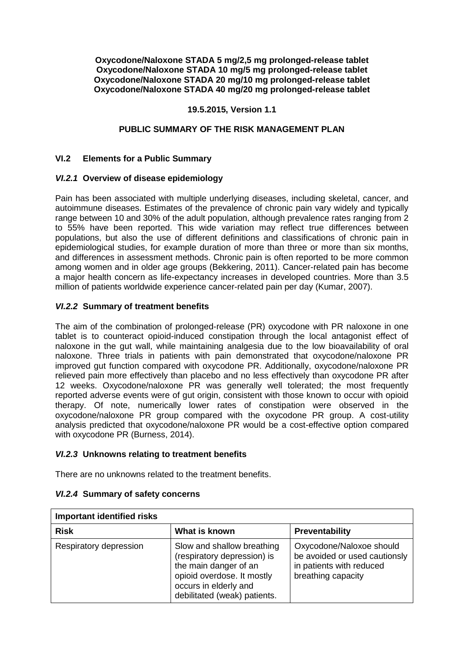**Oxycodone/Naloxone STADA 5 mg/2,5 mg prolonged-release tablet Oxycodone/Naloxone STADA 10 mg/5 mg prolonged-release tablet Oxycodone/Naloxone STADA 20 mg/10 mg prolonged-release tablet Oxycodone/Naloxone STADA 40 mg/20 mg prolonged-release tablet**

## **19.5.2015, Version 1.1**

## **PUBLIC SUMMARY OF THE RISK MANAGEMENT PLAN**

## **VI.2 Elements for a Public Summary**

## *VI.2.1* **Overview of disease epidemiology**

Pain has been associated with multiple underlying diseases, including skeletal, cancer, and autoimmune diseases. Estimates of the prevalence of chronic pain vary widely and typically range between 10 and 30% of the adult population, although prevalence rates ranging from 2 to 55% have been reported. This wide variation may reflect true differences between populations, but also the use of different definitions and classifications of chronic pain in epidemiological studies, for example duration of more than three or more than six months, and differences in assessment methods. Chronic pain is often reported to be more common among women and in older age groups (Bekkering, 2011). Cancer-related pain has become a major health concern as life-expectancy increases in developed countries. More than 3.5 million of patients worldwide experience cancer-related pain per day (Kumar, 2007).

## *VI.2.2* **Summary of treatment benefits**

The aim of the combination of prolonged-release (PR) oxycodone with PR naloxone in one tablet is to counteract opioid-induced constipation through the local antagonist effect of naloxone in the gut wall, while maintaining analgesia due to the low bioavailability of oral naloxone. Three trials in patients with pain demonstrated that oxycodone/naloxone PR improved gut function compared with oxycodone PR. Additionally, oxycodone/naloxone PR relieved pain more effectively than placebo and no less effectively than oxycodone PR after 12 weeks. Oxycodone/naloxone PR was generally well tolerated; the most frequently reported adverse events were of gut origin, consistent with those known to occur with opioid therapy. Of note, numerically lower rates of constipation were observed in the oxycodone/naloxone PR group compared with the oxycodone PR group. A cost-utility analysis predicted that oxycodone/naloxone PR would be a cost-effective option compared with oxycodone PR (Burness, 2014).

#### *VI.2.3* **Unknowns relating to treatment benefits**

There are no unknowns related to the treatment benefits.

| <b>Important identified risks</b> |                                                                                                                                                                           |                                                                                                             |
|-----------------------------------|---------------------------------------------------------------------------------------------------------------------------------------------------------------------------|-------------------------------------------------------------------------------------------------------------|
| <b>Risk</b>                       | What is known                                                                                                                                                             | Preventability                                                                                              |
| Respiratory depression            | Slow and shallow breathing<br>(respiratory depression) is<br>the main danger of an<br>opioid overdose. It mostly<br>occurs in elderly and<br>debilitated (weak) patients. | Oxycodone/Naloxoe should<br>be avoided or used cautionsly<br>in patients with reduced<br>breathing capacity |

#### *VI.2.4* **Summary of safety concerns**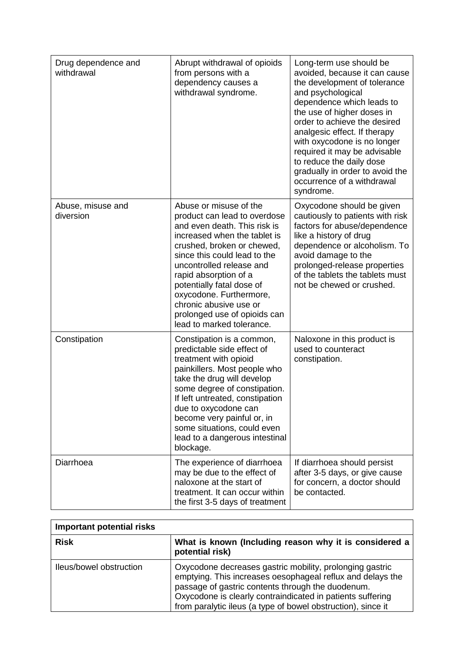| Drug dependence and<br>withdrawal | Abrupt withdrawal of opioids<br>from persons with a<br>dependency causes a<br>withdrawal syndrome.                                                                                                                                                                                                                                                                                       | Long-term use should be<br>avoided, because it can cause<br>the development of tolerance<br>and psychological<br>dependence which leads to<br>the use of higher doses in<br>order to achieve the desired<br>analgesic effect. If therapy<br>with oxycodone is no longer<br>required it may be advisable<br>to reduce the daily dose<br>gradually in order to avoid the<br>occurrence of a withdrawal<br>syndrome. |
|-----------------------------------|------------------------------------------------------------------------------------------------------------------------------------------------------------------------------------------------------------------------------------------------------------------------------------------------------------------------------------------------------------------------------------------|-------------------------------------------------------------------------------------------------------------------------------------------------------------------------------------------------------------------------------------------------------------------------------------------------------------------------------------------------------------------------------------------------------------------|
| Abuse, misuse and<br>diversion    | Abuse or misuse of the<br>product can lead to overdose<br>and even death. This risk is<br>increased when the tablet is<br>crushed, broken or chewed,<br>since this could lead to the<br>uncontrolled release and<br>rapid absorption of a<br>potentially fatal dose of<br>oxycodone. Furthermore,<br>chronic abusive use or<br>prolonged use of opioids can<br>lead to marked tolerance. | Oxycodone should be given<br>cautiously to patients with risk<br>factors for abuse/dependence<br>like a history of drug<br>dependence or alcoholism. To<br>avoid damage to the<br>prolonged-release properties<br>of the tablets the tablets must<br>not be chewed or crushed.                                                                                                                                    |
| Constipation                      | Constipation is a common,<br>predictable side effect of<br>treatment with opioid<br>painkillers. Most people who<br>take the drug will develop<br>some degree of constipation.<br>If left untreated, constipation<br>due to oxycodone can<br>become very painful or, in<br>some situations, could even<br>lead to a dangerous intestinal<br>blockage.                                    | Naloxone in this product is<br>used to counteract<br>constipation.                                                                                                                                                                                                                                                                                                                                                |
| Diarrhoea                         | The experience of diarrhoea<br>may be due to the effect of<br>naloxone at the start of<br>treatment. It can occur within<br>the first 3-5 days of treatment                                                                                                                                                                                                                              | If diarrhoea should persist<br>after 3-5 days, or give cause<br>for concern, a doctor should<br>be contacted.                                                                                                                                                                                                                                                                                                     |

| Important potential risks |                                                                                                                                                                                                                                                                                                           |  |
|---------------------------|-----------------------------------------------------------------------------------------------------------------------------------------------------------------------------------------------------------------------------------------------------------------------------------------------------------|--|
| <b>Risk</b>               | What is known (Including reason why it is considered a<br>potential risk)                                                                                                                                                                                                                                 |  |
| lleus/bowel obstruction   | Oxycodone decreases gastric mobility, prolonging gastric<br>emptying. This increases oesophageal reflux and delays the<br>passage of gastric contents through the duodenum.<br>Oxycodone is clearly contraindicated in patients suffering<br>from paralytic ileus (a type of bowel obstruction), since it |  |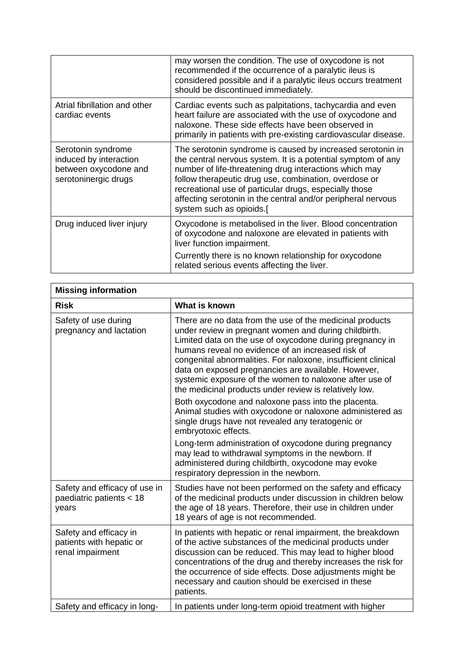|                                                                                               | may worsen the condition. The use of oxycodone is not<br>recommended if the occurrence of a paralytic ileus is<br>considered possible and if a paralytic ileus occurs treatment<br>should be discontinued immediately.                                                                                                                                                                              |
|-----------------------------------------------------------------------------------------------|-----------------------------------------------------------------------------------------------------------------------------------------------------------------------------------------------------------------------------------------------------------------------------------------------------------------------------------------------------------------------------------------------------|
| Atrial fibrillation and other<br>cardiac events                                               | Cardiac events such as palpitations, tachycardia and even<br>heart failure are associated with the use of oxycodone and<br>naloxone. These side effects have been observed in<br>primarily in patients with pre-existing cardiovascular disease.                                                                                                                                                    |
| Serotonin syndrome<br>induced by interaction<br>between oxycodone and<br>serotoninergic drugs | The serotonin syndrome is caused by increased serotonin in<br>the central nervous system. It is a potential symptom of any<br>number of life-threatening drug interactions which may<br>follow therapeutic drug use, combination, overdose or<br>recreational use of particular drugs, especially those<br>affecting serotonin in the central and/or peripheral nervous<br>system such as opioids.[ |
| Drug induced liver injury                                                                     | Oxycodone is metabolised in the liver. Blood concentration<br>of oxycodone and naloxone are elevated in patients with<br>liver function impairment.<br>Currently there is no known relationship for oxycodone<br>related serious events affecting the liver.                                                                                                                                        |

| <b>Missing information</b>                                             |                                                                                                                                                                                                                                                                                                                                                                                                                                                                                                                                        |  |
|------------------------------------------------------------------------|----------------------------------------------------------------------------------------------------------------------------------------------------------------------------------------------------------------------------------------------------------------------------------------------------------------------------------------------------------------------------------------------------------------------------------------------------------------------------------------------------------------------------------------|--|
| <b>Risk</b>                                                            | What is known                                                                                                                                                                                                                                                                                                                                                                                                                                                                                                                          |  |
| Safety of use during<br>pregnancy and lactation                        | There are no data from the use of the medicinal products<br>under review in pregnant women and during childbirth.<br>Limited data on the use of oxycodone during pregnancy in<br>humans reveal no evidence of an increased risk of<br>congenital abnormalities. For naloxone, insufficient clinical<br>data on exposed pregnancies are available. However,<br>systemic exposure of the women to naloxone after use of<br>the medicinal products under review is relatively low.<br>Both oxycodone and naloxone pass into the placenta. |  |
|                                                                        | Animal studies with oxycodone or naloxone administered as<br>single drugs have not revealed any teratogenic or<br>embryotoxic effects.                                                                                                                                                                                                                                                                                                                                                                                                 |  |
|                                                                        | Long-term administration of oxycodone during pregnancy<br>may lead to withdrawal symptoms in the newborn. If<br>administered during childbirth, oxycodone may evoke<br>respiratory depression in the newborn.                                                                                                                                                                                                                                                                                                                          |  |
| Safety and efficacy of use in<br>paediatric patients < 18<br>years     | Studies have not been performed on the safety and efficacy<br>of the medicinal products under discussion in children below<br>the age of 18 years. Therefore, their use in children under<br>18 years of age is not recommended.                                                                                                                                                                                                                                                                                                       |  |
| Safety and efficacy in<br>patients with hepatic or<br>renal impairment | In patients with hepatic or renal impairment, the breakdown<br>of the active substances of the medicinal products under<br>discussion can be reduced. This may lead to higher blood<br>concentrations of the drug and thereby increases the risk for<br>the occurrence of side effects. Dose adjustments might be<br>necessary and caution should be exercised in these<br>patients.                                                                                                                                                   |  |
| Safety and efficacy in long-                                           | In patients under long-term opioid treatment with higher                                                                                                                                                                                                                                                                                                                                                                                                                                                                               |  |